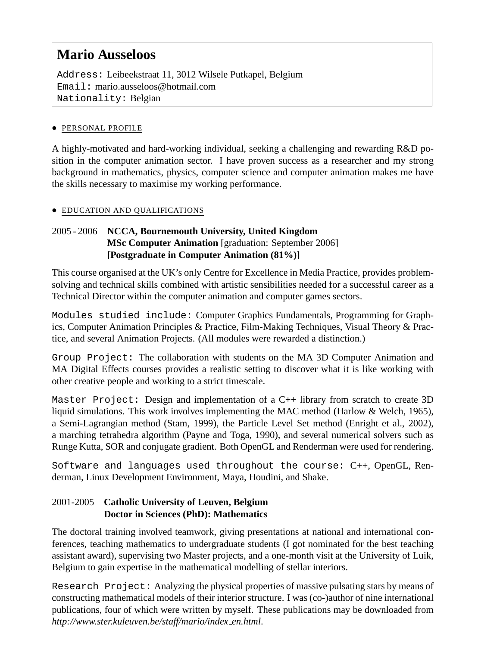# **Mario Ausseloos**

Address: Leibeekstraat 11, 3012 Wilsele Putkapel, Belgium Email: mario.ausseloos@hotmail.com Nationality: Belgian

#### • PERSONAL PROFILE

A highly-motivated and hard-working individual, seeking a challenging and rewarding R&D position in the computer animation sector. I have proven success as a researcher and my strong background in mathematics, physics, computer science and computer animation makes me have the skills necessary to maximise my working performance.

#### • EDUCATION AND QUALIFICATIONS

### 2005 - 2006 **NCCA, Bournemouth University, United Kingdom MSc Computer Animation** [graduation: September 2006] **[Postgraduate in Computer Animation (81%)]**

This course organised at the UK's only Centre for Excellence in Media Practice, provides problemsolving and technical skills combined with artistic sensibilities needed for a successful career as a Technical Director within the computer animation and computer games sectors.

Modules studied include: Computer Graphics Fundamentals, Programming for Graphics, Computer Animation Principles & Practice, Film-Making Techniques, Visual Theory & Practice, and several Animation Projects. (All modules were rewarded a distinction.)

Group Project: The collaboration with students on the MA 3D Computer Animation and MA Digital Effects courses provides a realistic setting to discover what it is like working with other creative people and working to a strict timescale.

Master Project: Design and implementation of a  $C++$  library from scratch to create 3D liquid simulations. This work involves implementing the MAC method (Harlow & Welch, 1965), a Semi-Lagrangian method (Stam, 1999), the Particle Level Set method (Enright et al., 2002), a marching tetrahedra algorithm (Payne and Toga, 1990), and several numerical solvers such as Runge Kutta, SOR and conjugate gradient. Both OpenGL and Renderman were used for rendering.

Software and languages used throughout the course: C++, OpenGL, Renderman, Linux Development Environment, Maya, Houdini, and Shake.

# 2001-2005 **Catholic University of Leuven, Belgium Doctor in Sciences (PhD): Mathematics**

The doctoral training involved teamwork, giving presentations at national and international conferences, teaching mathematics to undergraduate students (I got nominated for the best teaching assistant award), supervising two Master projects, and a one-month visit at the University of Luik, Belgium to gain expertise in the mathematical modelling of stellar interiors.

Research Project: Analyzing the physical properties of massive pulsating stars by means of constructing mathematical models of their interior structure. I was (co-)author of nine international publications, four of which were written by myself. These publications may be downloaded from *http://www.ster.kuleuven.be/staff/mario/index en.html*.